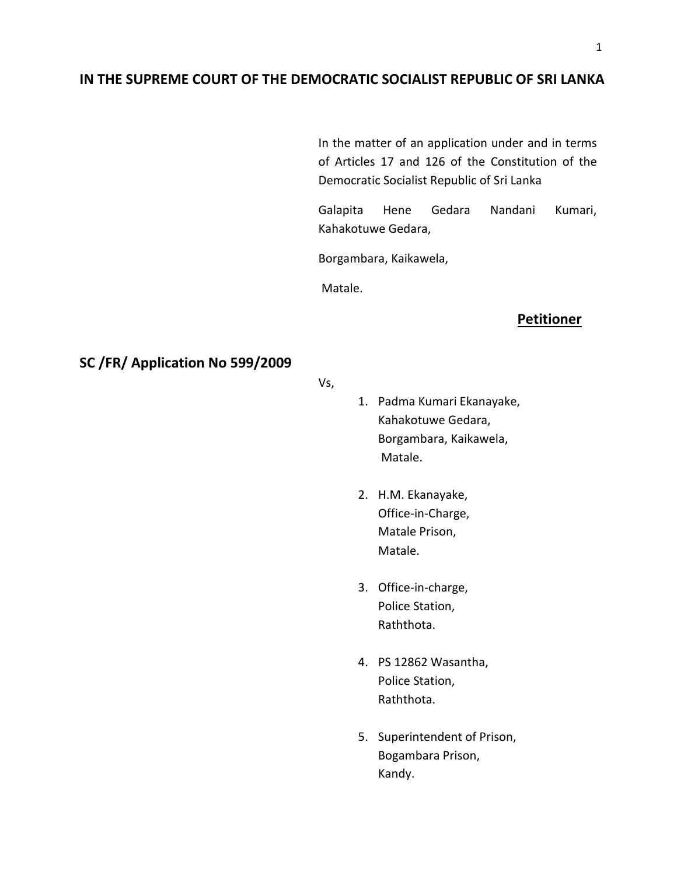### **IN THE SUPREME COURT OF THE DEMOCRATIC SOCIALIST REPUBLIC OF SRI LANKA**

In the matter of an application under and in terms of Articles 17 and 126 of the Constitution of the Democratic Socialist Republic of Sri Lanka

Galapita Hene Gedara Nandani Kumari, Kahakotuwe Gedara,

Borgambara, Kaikawela,

Matale.

### **Petitioner**

# **SC /FR/ Application No 599/2009**

Vs,

- 1. Padma Kumari Ekanayake, Kahakotuwe Gedara, Borgambara, Kaikawela, Matale.
- 2. H.M. Ekanayake, Office-in-Charge, Matale Prison, Matale.
- 3. Office-in-charge, Police Station, Raththota.
- 4. PS 12862 Wasantha, Police Station, Raththota.
- 5. Superintendent of Prison, Bogambara Prison, Kandy.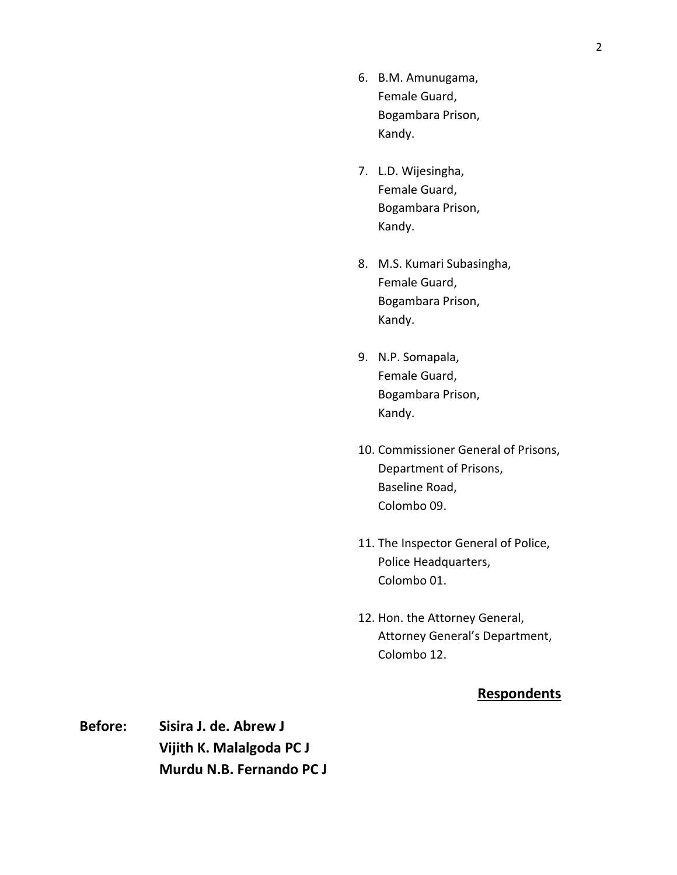- 6. B.M. Amunugama, Female Guard, Bogambara Prison, Kandy.
- 7. L.D. Wijesingha, Female Guard, Bogambara Prison, Kandy.
- 8. M.S. Kumari Subasingha, Female Guard, Bogambara Prison, Kandy.
- 9. N.P. Somapala, Female Guard, Bogambara Prison, Kandy.
- 10. Commissioner General of Prisons, Department of Prisons, Baseline Road, Colombo 09.
- 11. The Inspector General of Police, Police Headquarters, Colombo 01.
- 12. Hon. the Attorney General, Attorney General's Department, Colombo 12.

## **Respondents**

**Before: Sisira J. de. Abrew J Vijith K. Malalgoda PC J Murdu N.B. Fernando PC J**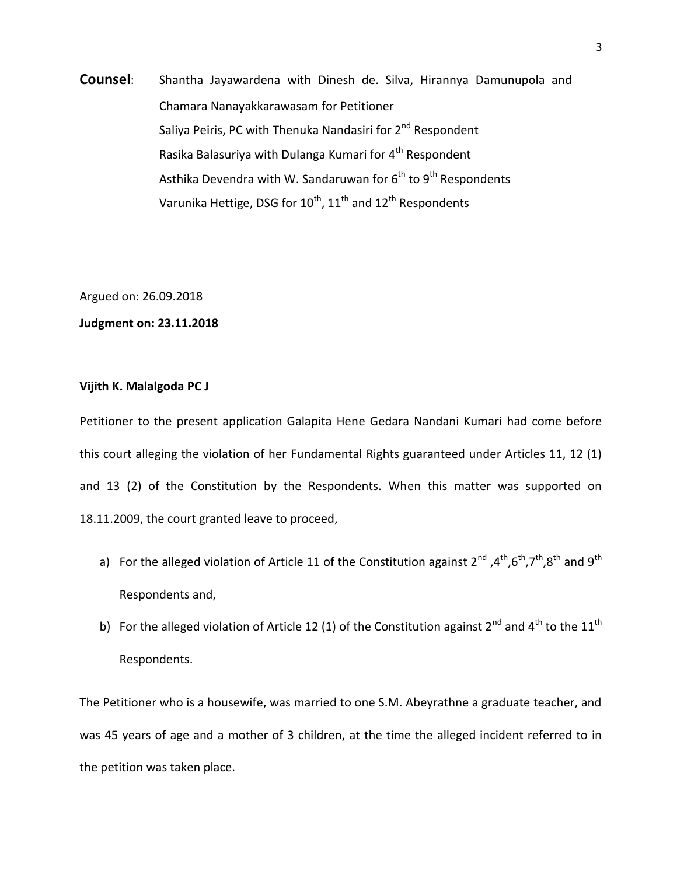**Counsel**: Shantha Jayawardena with Dinesh de. Silva, Hirannya Damunupola and Chamara Nanayakkarawasam for Petitioner Saliya Peiris, PC with Thenuka Nandasiri for 2<sup>nd</sup> Respondent Rasika Balasuriya with Dulanga Kumari for 4<sup>th</sup> Respondent Asthika Devendra with W. Sandaruwan for  $6<sup>th</sup>$  to  $9<sup>th</sup>$  Respondents Varunika Hettige, DSG for  $10^{\text{th}}$ ,  $11^{\text{th}}$  and  $12^{\text{th}}$  Respondents

Argued on: 26.09.2018

### **Judgment on: 23.11.2018**

### **Vijith K. Malalgoda PC J**

Petitioner to the present application Galapita Hene Gedara Nandani Kumari had come before this court alleging the violation of her Fundamental Rights guaranteed under Articles 11, 12 (1) and 13 (2) of the Constitution by the Respondents. When this matter was supported on 18.11.2009, the court granted leave to proceed,

- a) For the alleged violation of Article 11 of the Constitution against  $2^{nd}$ ,  $4^{th}$ ,  $6^{th}$ ,  $7^{th}$ ,  $8^{th}$  and  $9^{th}$ Respondents and,
- b) For the alleged violation of Article 12 (1) of the Constitution against 2<sup>nd</sup> and 4<sup>th</sup> to the 11<sup>th</sup> Respondents.

The Petitioner who is a housewife, was married to one S.M. Abeyrathne a graduate teacher, and was 45 years of age and a mother of 3 children, at the time the alleged incident referred to in the petition was taken place.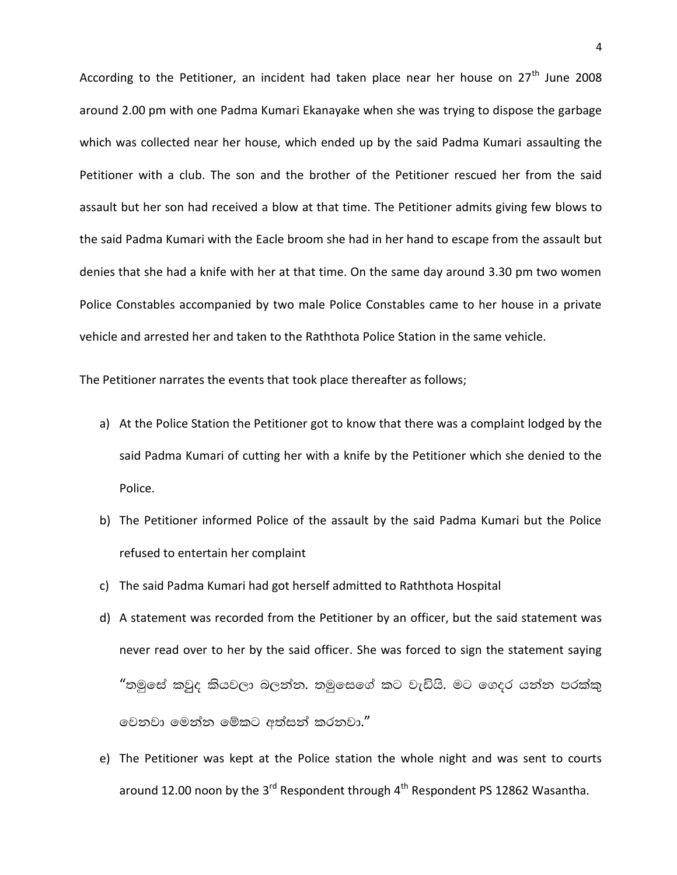According to the Petitioner, an incident had taken place near her house on  $27<sup>th</sup>$  June 2008 around 2.00 pm with one Padma Kumari Ekanayake when she was trying to dispose the garbage which was collected near her house, which ended up by the said Padma Kumari assaulting the Petitioner with a club. The son and the brother of the Petitioner rescued her from the said assault but her son had received a blow at that time. The Petitioner admits giving few blows to the said Padma Kumari with the Eacle broom she had in her hand to escape from the assault but denies that she had a knife with her at that time. On the same day around 3.30 pm two women Police Constables accompanied by two male Police Constables came to her house in a private vehicle and arrested her and taken to the Raththota Police Station in the same vehicle.

The Petitioner narrates the events that took place thereafter as follows;

- a) At the Police Station the Petitioner got to know that there was a complaint lodged by the said Padma Kumari of cutting her with a knife by the Petitioner which she denied to the Police.
- b) The Petitioner informed Police of the assault by the said Padma Kumari but the Police refused to entertain her complaint
- c) The said Padma Kumari had got herself admitted to Raththota Hospital
- d) A statement was recorded from the Petitioner by an officer, but the said statement was never read over to her by the said officer. She was forced to sign the statement saying "තමුසේ කවුද කියවලා බලන්න. තමුසෙගේ කට වැඩියි. මට ගෙදර යන්න පරක්කු වෙනවා මෙන්න මේකට අත්සන් කරනවා."
- e) The Petitioner was kept at the Police station the whole night and was sent to courts around 12.00 noon by the 3<sup>rd</sup> Respondent through 4<sup>th</sup> Respondent PS 12862 Wasantha.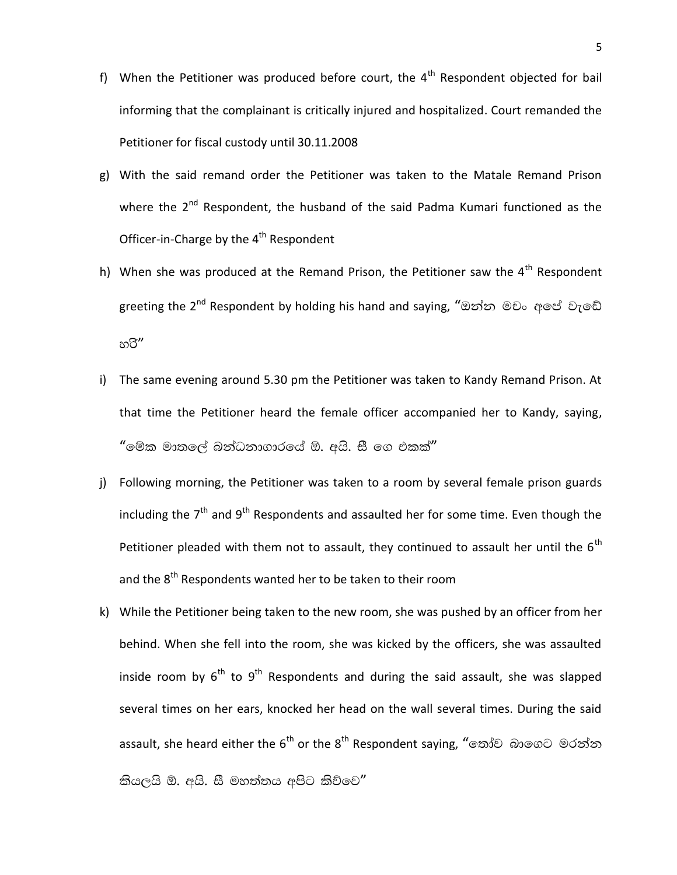- f) When the Petitioner was produced before court, the  $4<sup>th</sup>$  Respondent objected for bail informing that the complainant is critically injured and hospitalized. Court remanded the Petitioner for fiscal custody until 30.11.2008
- g) With the said remand order the Petitioner was taken to the Matale Remand Prison where the 2<sup>nd</sup> Respondent, the husband of the said Padma Kumari functioned as the Officer-in-Charge by the  $4<sup>th</sup>$  Respondent
- h) When she was produced at the Remand Prison, the Petitioner saw the  $4<sup>th</sup>$  Respondent greeting the 2<sup>nd</sup> Respondent by holding his hand and saying, "ඔන්න මචං අපේ වැඩේ හරි"
- i) The same evening around 5.30 pm the Petitioner was taken to Kandy Remand Prison. At that time the Petitioner heard the female officer accompanied her to Kandy, saying,  $\degree$ මේක මාතලේ බන්ධනාගාරයේ ඕ. අයි. සී ගෙ එකක් $^{\prime\prime}$
- j) Following morning, the Petitioner was taken to a room by several female prison guards including the  $7<sup>th</sup>$  and  $9<sup>th</sup>$  Respondents and assaulted her for some time. Even though the Petitioner pleaded with them not to assault, they continued to assault her until the  $6<sup>th</sup>$ and the 8<sup>th</sup> Respondents wanted her to be taken to their room
- k) While the Petitioner being taken to the new room, she was pushed by an officer from her behind. When she fell into the room, she was kicked by the officers, she was assaulted inside room by  $6^{th}$  to  $9^{th}$  Respondents and during the said assault, she was slapped several times on her ears, knocked her head on the wall several times. During the said assault, she heard either the 6<sup>th</sup> or the 8<sup>th</sup> Respondent saying, "තෝව බාගෙට මරන්න කියලයි ඕ. අයි. සී මහත්තය අපිට කිව්වෙ $^{\prime\prime}$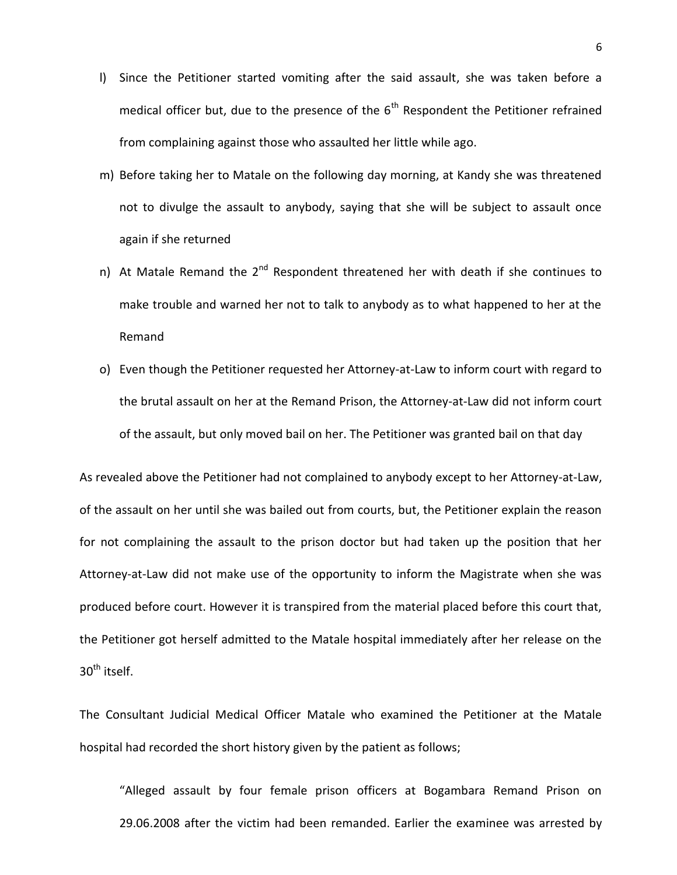- l) Since the Petitioner started vomiting after the said assault, she was taken before a medical officer but, due to the presence of the  $6<sup>th</sup>$  Respondent the Petitioner refrained from complaining against those who assaulted her little while ago.
- m) Before taking her to Matale on the following day morning, at Kandy she was threatened not to divulge the assault to anybody, saying that she will be subject to assault once again if she returned
- n) At Matale Remand the  $2^{nd}$  Respondent threatened her with death if she continues to make trouble and warned her not to talk to anybody as to what happened to her at the Remand
- o) Even though the Petitioner requested her Attorney-at-Law to inform court with regard to the brutal assault on her at the Remand Prison, the Attorney-at-Law did not inform court of the assault, but only moved bail on her. The Petitioner was granted bail on that day

As revealed above the Petitioner had not complained to anybody except to her Attorney-at-Law, of the assault on her until she was bailed out from courts, but, the Petitioner explain the reason for not complaining the assault to the prison doctor but had taken up the position that her Attorney-at-Law did not make use of the opportunity to inform the Magistrate when she was produced before court. However it is transpired from the material placed before this court that, the Petitioner got herself admitted to the Matale hospital immediately after her release on the  $30<sup>th</sup>$  itself.

The Consultant Judicial Medical Officer Matale who examined the Petitioner at the Matale hospital had recorded the short history given by the patient as follows;

"Alleged assault by four female prison officers at Bogambara Remand Prison on 29.06.2008 after the victim had been remanded. Earlier the examinee was arrested by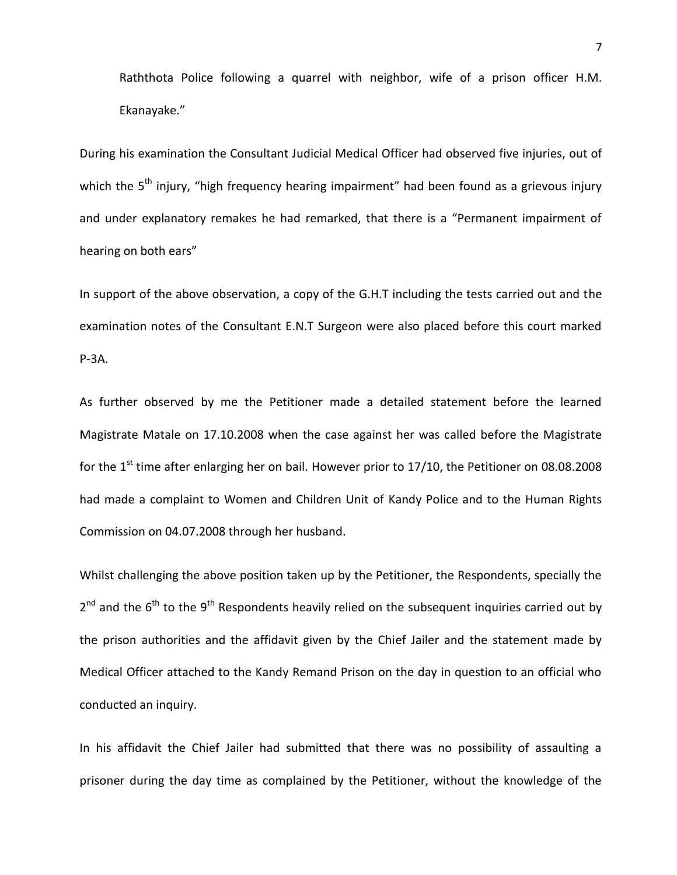Raththota Police following a quarrel with neighbor, wife of a prison officer H.M. Ekanayake."

During his examination the Consultant Judicial Medical Officer had observed five injuries, out of which the 5<sup>th</sup> injury, "high frequency hearing impairment" had been found as a grievous injury and under explanatory remakes he had remarked, that there is a "Permanent impairment of hearing on both ears"

In support of the above observation, a copy of the G.H.T including the tests carried out and the examination notes of the Consultant E.N.T Surgeon were also placed before this court marked P-3A.

As further observed by me the Petitioner made a detailed statement before the learned Magistrate Matale on 17.10.2008 when the case against her was called before the Magistrate for the 1<sup>st</sup> time after enlarging her on bail. However prior to 17/10, the Petitioner on 08.08.2008 had made a complaint to Women and Children Unit of Kandy Police and to the Human Rights Commission on 04.07.2008 through her husband.

Whilst challenging the above position taken up by the Petitioner, the Respondents, specially the 2<sup>nd</sup> and the 6<sup>th</sup> to the 9<sup>th</sup> Respondents heavily relied on the subsequent inquiries carried out by the prison authorities and the affidavit given by the Chief Jailer and the statement made by Medical Officer attached to the Kandy Remand Prison on the day in question to an official who conducted an inquiry.

In his affidavit the Chief Jailer had submitted that there was no possibility of assaulting a prisoner during the day time as complained by the Petitioner, without the knowledge of the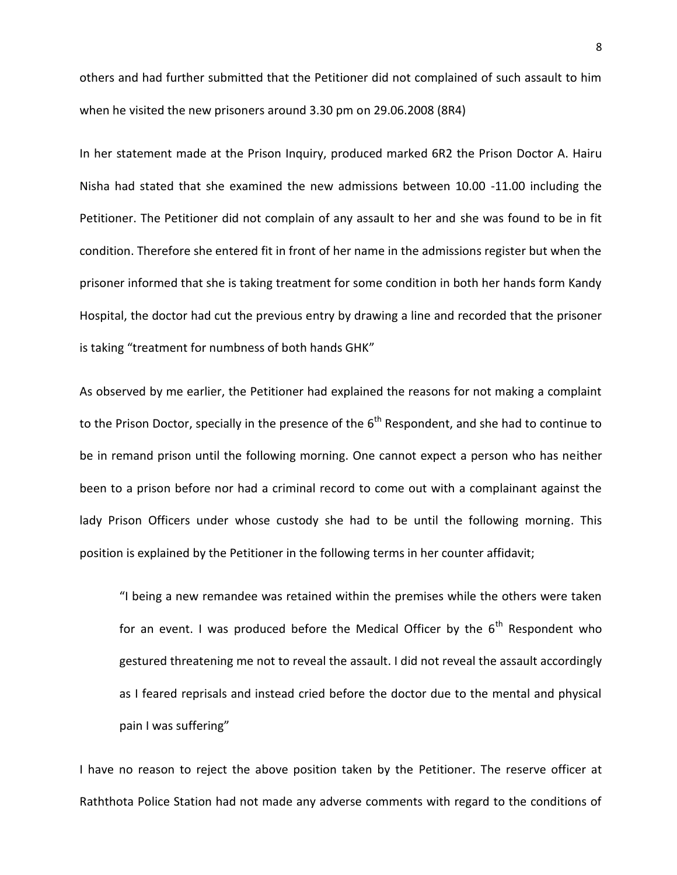others and had further submitted that the Petitioner did not complained of such assault to him when he visited the new prisoners around 3.30 pm on 29.06.2008 (8R4)

In her statement made at the Prison Inquiry, produced marked 6R2 the Prison Doctor A. Hairu Nisha had stated that she examined the new admissions between 10.00 -11.00 including the Petitioner. The Petitioner did not complain of any assault to her and she was found to be in fit condition. Therefore she entered fit in front of her name in the admissions register but when the prisoner informed that she is taking treatment for some condition in both her hands form Kandy Hospital, the doctor had cut the previous entry by drawing a line and recorded that the prisoner is taking "treatment for numbness of both hands GHK"

As observed by me earlier, the Petitioner had explained the reasons for not making a complaint to the Prison Doctor, specially in the presence of the  $6<sup>th</sup>$  Respondent, and she had to continue to be in remand prison until the following morning. One cannot expect a person who has neither been to a prison before nor had a criminal record to come out with a complainant against the lady Prison Officers under whose custody she had to be until the following morning. This position is explained by the Petitioner in the following terms in her counter affidavit;

"I being a new remandee was retained within the premises while the others were taken for an event. I was produced before the Medical Officer by the  $6<sup>th</sup>$  Respondent who gestured threatening me not to reveal the assault. I did not reveal the assault accordingly as I feared reprisals and instead cried before the doctor due to the mental and physical pain I was suffering"

I have no reason to reject the above position taken by the Petitioner. The reserve officer at Raththota Police Station had not made any adverse comments with regard to the conditions of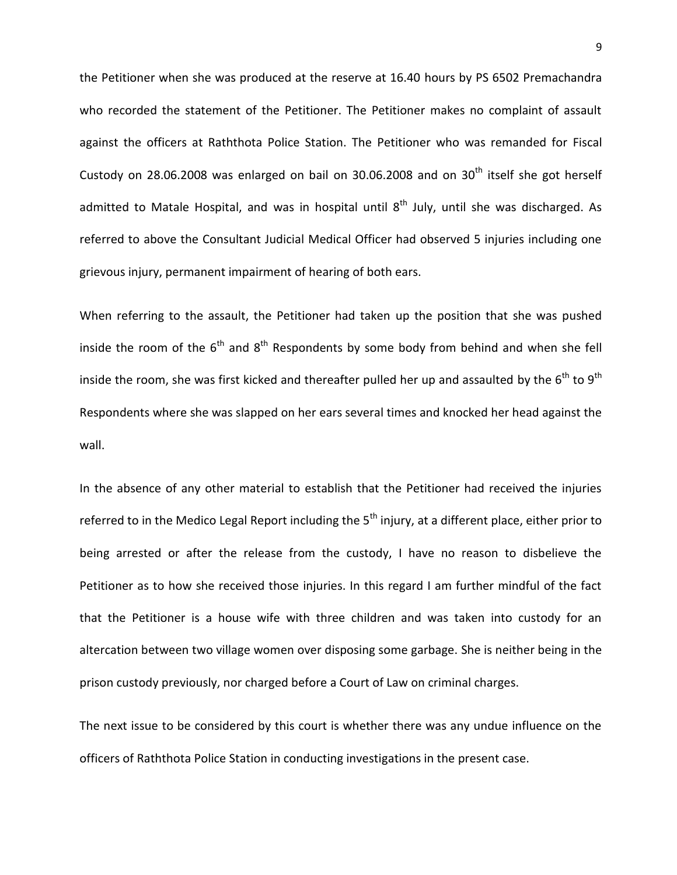the Petitioner when she was produced at the reserve at 16.40 hours by PS 6502 Premachandra who recorded the statement of the Petitioner. The Petitioner makes no complaint of assault against the officers at Raththota Police Station. The Petitioner who was remanded for Fiscal Custody on 28.06.2008 was enlarged on bail on 30.06.2008 and on  $30<sup>th</sup>$  itself she got herself admitted to Matale Hospital, and was in hospital until  $8<sup>th</sup>$  July, until she was discharged. As referred to above the Consultant Judicial Medical Officer had observed 5 injuries including one grievous injury, permanent impairment of hearing of both ears.

When referring to the assault, the Petitioner had taken up the position that she was pushed inside the room of the  $6<sup>th</sup>$  and  $8<sup>th</sup>$  Respondents by some body from behind and when she fell inside the room, she was first kicked and thereafter pulled her up and assaulted by the  $6^{th}$  to  $9^{th}$ Respondents where she was slapped on her ears several times and knocked her head against the wall.

In the absence of any other material to establish that the Petitioner had received the injuries referred to in the Medico Legal Report including the  $5<sup>th</sup>$  injury, at a different place, either prior to being arrested or after the release from the custody, I have no reason to disbelieve the Petitioner as to how she received those injuries. In this regard I am further mindful of the fact that the Petitioner is a house wife with three children and was taken into custody for an altercation between two village women over disposing some garbage. She is neither being in the prison custody previously, nor charged before a Court of Law on criminal charges.

The next issue to be considered by this court is whether there was any undue influence on the officers of Raththota Police Station in conducting investigations in the present case.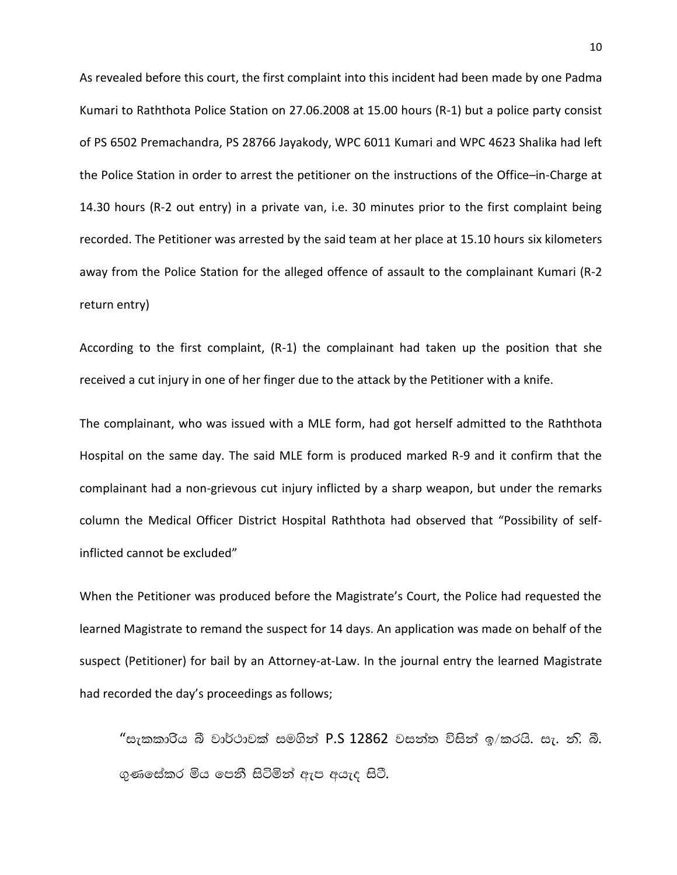As revealed before this court, the first complaint into this incident had been made by one Padma Kumari to Raththota Police Station on 27.06.2008 at 15.00 hours (R-1) but a police party consist of PS 6502 Premachandra, PS 28766 Jayakody, WPC 6011 Kumari and WPC 4623 Shalika had left the Police Station in order to arrest the petitioner on the instructions of the Office–in-Charge at 14.30 hours (R-2 out entry) in a private van, i.e. 30 minutes prior to the first complaint being recorded. The Petitioner was arrested by the said team at her place at 15.10 hours six kilometers away from the Police Station for the alleged offence of assault to the complainant Kumari (R-2 return entry)

According to the first complaint, (R-1) the complainant had taken up the position that she received a cut injury in one of her finger due to the attack by the Petitioner with a knife.

The complainant, who was issued with a MLE form, had got herself admitted to the Raththota Hospital on the same day. The said MLE form is produced marked R-9 and it confirm that the complainant had a non-grievous cut injury inflicted by a sharp weapon, but under the remarks column the Medical Officer District Hospital Raththota had observed that "Possibility of selfinflicted cannot be excluded"

When the Petitioner was produced before the Magistrate's Court, the Police had requested the learned Magistrate to remand the suspect for 14 days. An application was made on behalf of the suspect (Petitioner) for bail by an Attorney-at-Law. In the journal entry the learned Magistrate had recorded the day's proceedings as follows;

"සැකකාරිය බී වාර්ථාවක් සමගින් P.S 12862 වසන්ත විසින් ඉ/කරයි. සැ. නි. බී. ගුණසේකර මිය පෙනී සිටිමින් ඇප අයැද සිටී.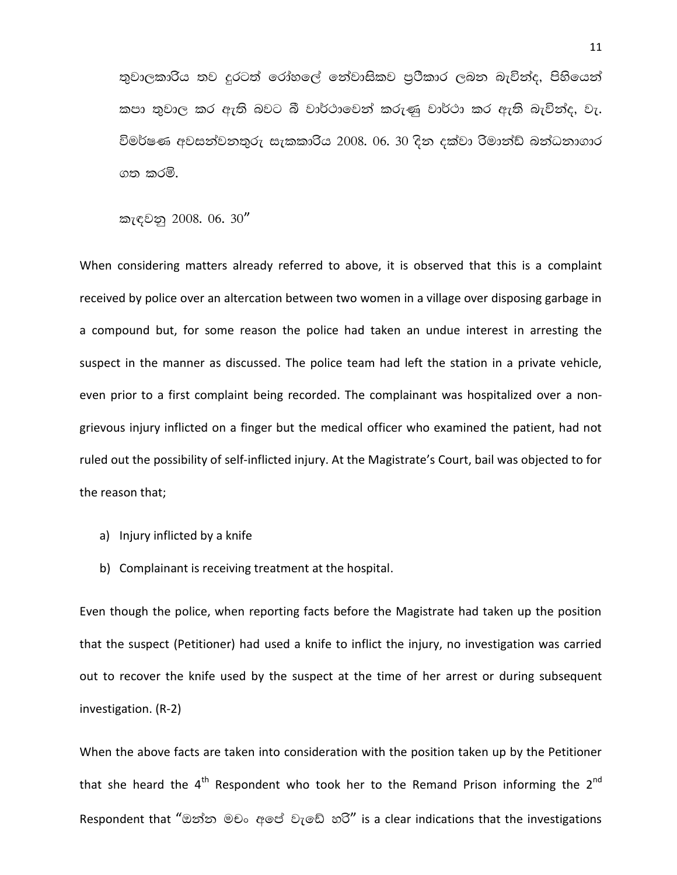තුවාලකාරිිය තව දුරටත් රෝහලේ නේවාසිකව පුථිකාර ලබන බැවින්ද, පිහියෙන් කපා තුවාල කර ඇති බවට බී වාර්ථාවෙන් කරුණු වාර්ථා කර ඇති බැවින්ද, වැ. විමර්ෂණ අවසන්වනතුරු සැකකාරිය 2008. 06. 30 දින දක්වා රිමාන්ඩ් බන්ධනාගාර ගත කරමි.

කැඳවනු 2008. 06. 30"

When considering matters already referred to above, it is observed that this is a complaint received by police over an altercation between two women in a village over disposing garbage in a compound but, for some reason the police had taken an undue interest in arresting the suspect in the manner as discussed. The police team had left the station in a private vehicle, even prior to a first complaint being recorded. The complainant was hospitalized over a nongrievous injury inflicted on a finger but the medical officer who examined the patient, had not ruled out the possibility of self-inflicted injury. At the Magistrate's Court, bail was objected to for the reason that;

- a) Injury inflicted by a knife
- b) Complainant is receiving treatment at the hospital.

Even though the police, when reporting facts before the Magistrate had taken up the position that the suspect (Petitioner) had used a knife to inflict the injury, no investigation was carried out to recover the knife used by the suspect at the time of her arrest or during subsequent investigation. (R-2)

When the above facts are taken into consideration with the position taken up by the Petitioner that she heard the  $4<sup>th</sup>$  Respondent who took her to the Remand Prison informing the  $2<sup>nd</sup>$ Respondent that "ඔන්න මචං අපේ වැඩේ හරි" is a clear indications that the investigations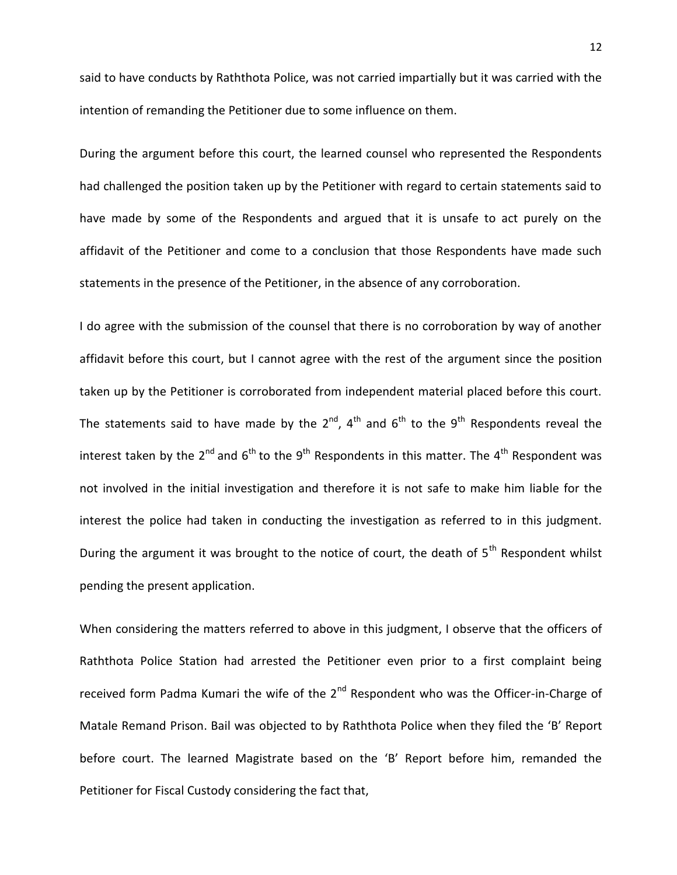said to have conducts by Raththota Police, was not carried impartially but it was carried with the intention of remanding the Petitioner due to some influence on them.

During the argument before this court, the learned counsel who represented the Respondents had challenged the position taken up by the Petitioner with regard to certain statements said to have made by some of the Respondents and argued that it is unsafe to act purely on the affidavit of the Petitioner and come to a conclusion that those Respondents have made such statements in the presence of the Petitioner, in the absence of any corroboration.

I do agree with the submission of the counsel that there is no corroboration by way of another affidavit before this court, but I cannot agree with the rest of the argument since the position taken up by the Petitioner is corroborated from independent material placed before this court. The statements said to have made by the  $2^{nd}$ ,  $4^{th}$  and  $6^{th}$  to the  $9^{th}$  Respondents reveal the interest taken by the  $2^{nd}$  and  $6^{th}$  to the  $9^{th}$  Respondents in this matter. The  $4^{th}$  Respondent was not involved in the initial investigation and therefore it is not safe to make him liable for the interest the police had taken in conducting the investigation as referred to in this judgment. During the argument it was brought to the notice of court, the death of 5<sup>th</sup> Respondent whilst pending the present application.

When considering the matters referred to above in this judgment, I observe that the officers of Raththota Police Station had arrested the Petitioner even prior to a first complaint being received form Padma Kumari the wife of the  $2<sup>nd</sup>$  Respondent who was the Officer-in-Charge of Matale Remand Prison. Bail was objected to by Raththota Police when they filed the 'B' Report before court. The learned Magistrate based on the 'B' Report before him, remanded the Petitioner for Fiscal Custody considering the fact that,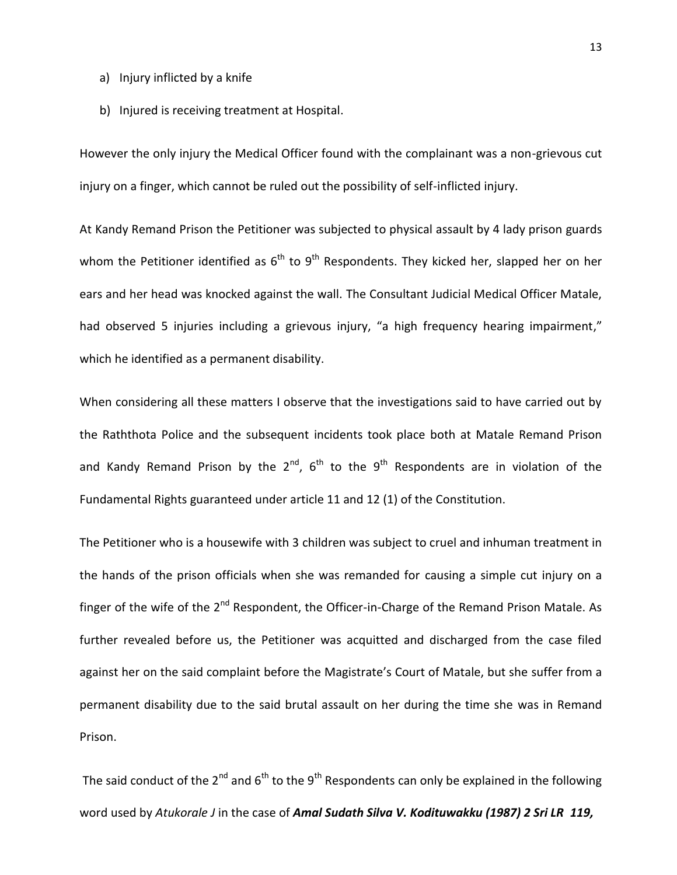- a) Injury inflicted by a knife
- b) Injured is receiving treatment at Hospital.

However the only injury the Medical Officer found with the complainant was a non-grievous cut injury on a finger, which cannot be ruled out the possibility of self-inflicted injury.

At Kandy Remand Prison the Petitioner was subjected to physical assault by 4 lady prison guards whom the Petitioner identified as  $6^{th}$  to  $9^{th}$  Respondents. They kicked her, slapped her on her ears and her head was knocked against the wall. The Consultant Judicial Medical Officer Matale, had observed 5 injuries including a grievous injury, "a high frequency hearing impairment," which he identified as a permanent disability.

When considering all these matters I observe that the investigations said to have carried out by the Raththota Police and the subsequent incidents took place both at Matale Remand Prison and Kandy Remand Prison by the  $2^{nd}$ ,  $6^{th}$  to the  $9^{th}$  Respondents are in violation of the Fundamental Rights guaranteed under article 11 and 12 (1) of the Constitution.

The Petitioner who is a housewife with 3 children was subject to cruel and inhuman treatment in the hands of the prison officials when she was remanded for causing a simple cut injury on a finger of the wife of the 2<sup>nd</sup> Respondent, the Officer-in-Charge of the Remand Prison Matale. As further revealed before us, the Petitioner was acquitted and discharged from the case filed against her on the said complaint before the Magistrate's Court of Matale, but she suffer from a permanent disability due to the said brutal assault on her during the time she was in Remand Prison.

The said conduct of the 2<sup>nd</sup> and 6<sup>th</sup> to the 9<sup>th</sup> Respondents can only be explained in the following word used by *Atukorale J* in the case of *Amal Sudath Silva V. Kodituwakku (1987) 2 Sri LR 119,*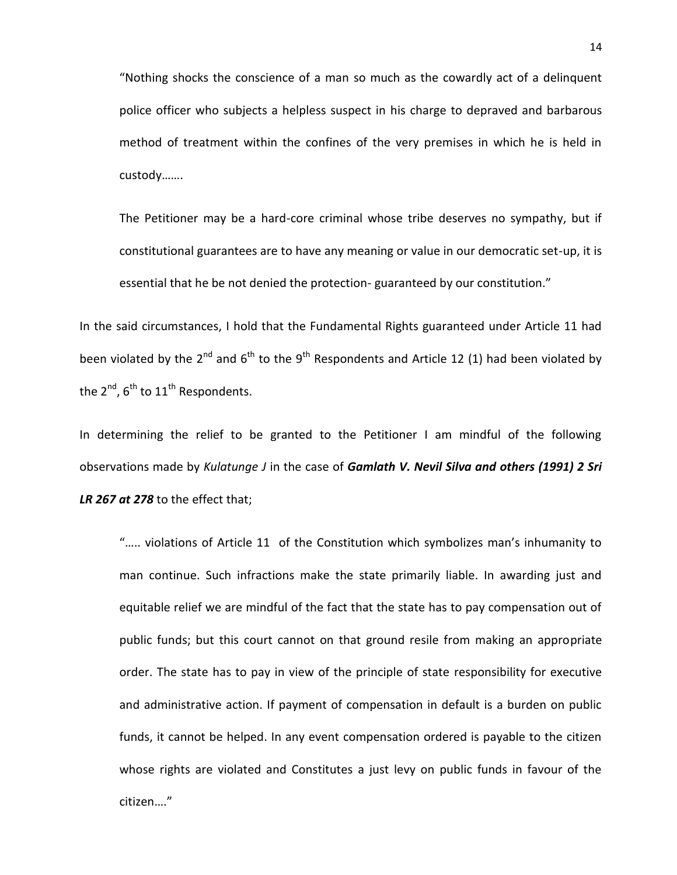"Nothing shocks the conscience of a man so much as the cowardly act of a delinquent police officer who subjects a helpless suspect in his charge to depraved and barbarous method of treatment within the confines of the very premises in which he is held in custody…….

The Petitioner may be a hard-core criminal whose tribe deserves no sympathy, but if constitutional guarantees are to have any meaning or value in our democratic set-up, it is essential that he be not denied the protection- guaranteed by our constitution."

In the said circumstances, I hold that the Fundamental Rights guaranteed under Article 11 had been violated by the 2<sup>nd</sup> and 6<sup>th</sup> to the 9<sup>th</sup> Respondents and Article 12 (1) had been violated by the  $2^{nd}$ ,  $6^{th}$  to  $11^{th}$  Respondents.

In determining the relief to be granted to the Petitioner I am mindful of the following observations made by *Kulatunge J* in the case of *Gamlath V. Nevil Silva and others (1991) 2 Sri LR 267 at 278* to the effect that;

"….. violations of Article 11 of the Constitution which symbolizes man's inhumanity to man continue. Such infractions make the state primarily liable. In awarding just and equitable relief we are mindful of the fact that the state has to pay compensation out of public funds; but this court cannot on that ground resile from making an appropriate order. The state has to pay in view of the principle of state responsibility for executive and administrative action. If payment of compensation in default is a burden on public funds, it cannot be helped. In any event compensation ordered is payable to the citizen whose rights are violated and Constitutes a just levy on public funds in favour of the citizen…."